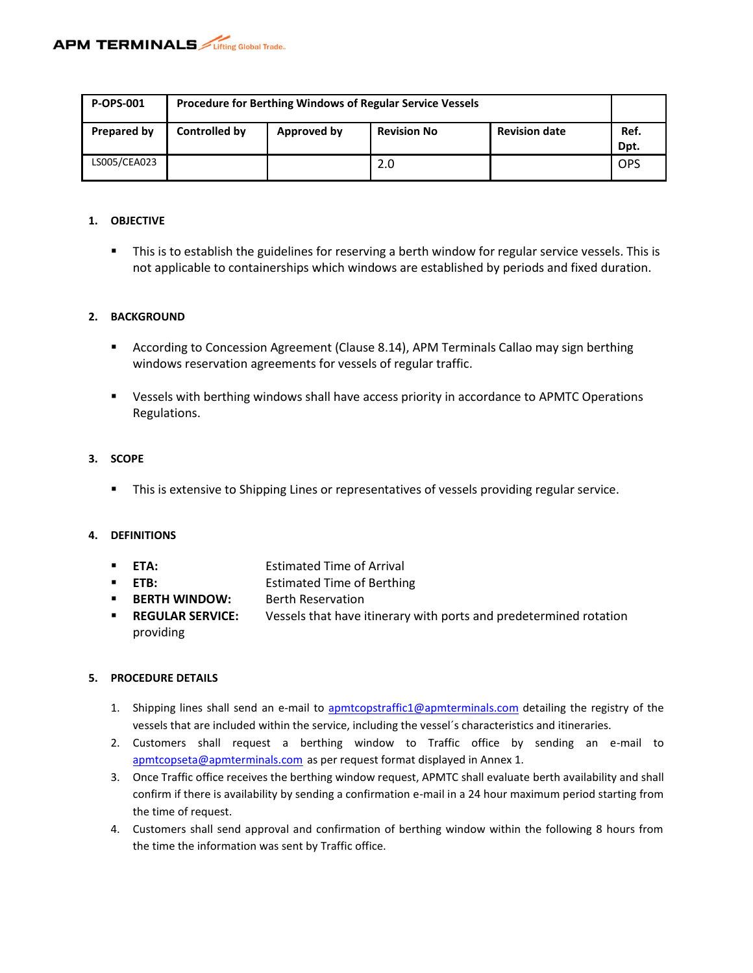| <b>P-OPS-001</b> | <b>Procedure for Berthing Windows of Regular Service Vessels</b>           |  |     |  |            |
|------------------|----------------------------------------------------------------------------|--|-----|--|------------|
| Prepared by      | <b>Revision date</b><br>Controlled by<br><b>Revision No</b><br>Approved by |  |     |  |            |
| LS005/CEA023     |                                                                            |  | 2.0 |  | <b>OPS</b> |

#### **1. OBJECTIVE**

**This is to establish the guidelines for reserving a berth window for regular service vessels. This is** not applicable to containerships which windows are established by periods and fixed duration.

## **2. BACKGROUND**

- According to Concession Agreement (Clause 8.14), APM Terminals Callao may sign berthing windows reservation agreements for vessels of regular traffic.
- Vessels with berthing windows shall have access priority in accordance to APMTC Operations Regulations.

## **3. SCOPE**

**This is extensive to Shipping Lines or representatives of vessels providing regular service.** 

## **4. DEFINITIONS**

- **ETA:** Estimated Time of Arrival
- **ETB:** EXECUTE: Estimated Time of Berthing
- **BERTH WINDOW:** Berth Reservation
- **REGULAR SERVICE:** Vessels that have itinerary with ports and predetermined rotation providing

## **5. PROCEDURE DETAILS**

- 1. Shipping lines shall send an e-mail to [apmtcopstraffic1@apmterminals.com](mailto:apmtcopstraffic1@apmterminals.com) detailing the registry of the vessels that are included within the service, including the vessel´s characteristics and itineraries.
- 2. Customers shall request a berthing window to Traffic office by sending an e-mail to [apmtcopseta@apmterminals.com](mailto:apmtcopseta@apmterminals.com) as per request format displayed in Annex 1.
- 3. Once Traffic office receives the berthing window request, APMTC shall evaluate berth availability and shall confirm if there is availability by sending a confirmation e-mail in a 24 hour maximum period starting from the time of request.
- 4. Customers shall send approval and confirmation of berthing window within the following 8 hours from the time the information was sent by Traffic office.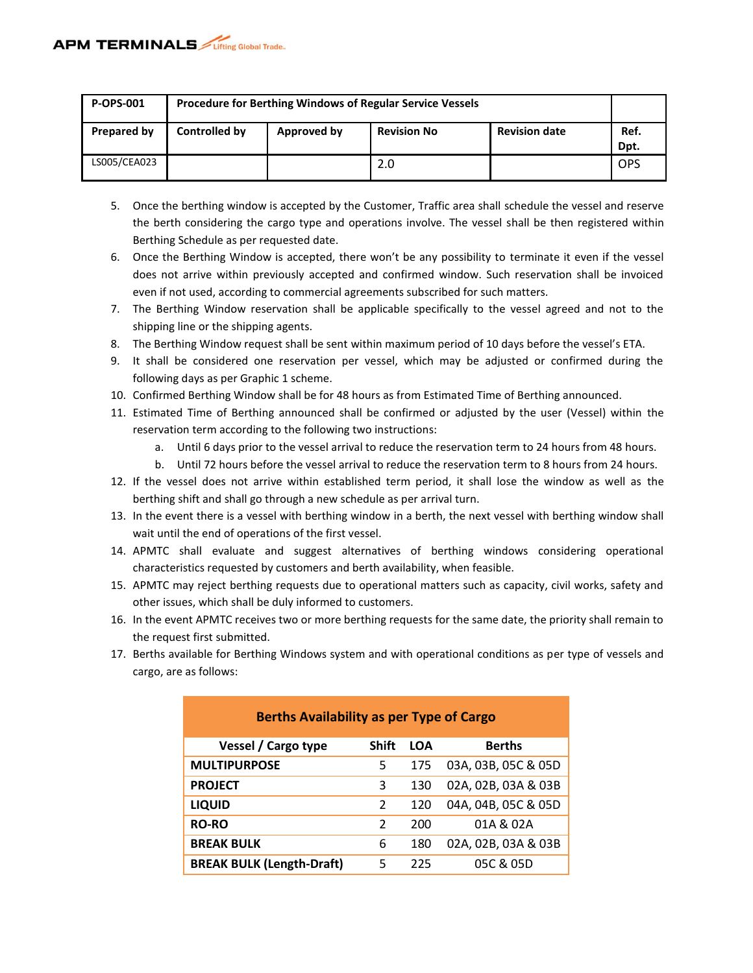| <b>P-OPS-001</b> | <b>Procedure for Berthing Windows of Regular Service Vessels</b>           |  |     |  |            |
|------------------|----------------------------------------------------------------------------|--|-----|--|------------|
| Prepared by      | <b>Revision date</b><br>Controlled by<br><b>Revision No</b><br>Approved by |  |     |  |            |
| LS005/CEA023     |                                                                            |  | 2.0 |  | <b>OPS</b> |

- 5. Once the berthing window is accepted by the Customer, Traffic area shall schedule the vessel and reserve the berth considering the cargo type and operations involve. The vessel shall be then registered within Berthing Schedule as per requested date.
- 6. Once the Berthing Window is accepted, there won't be any possibility to terminate it even if the vessel does not arrive within previously accepted and confirmed window. Such reservation shall be invoiced even if not used, according to commercial agreements subscribed for such matters.
- 7. The Berthing Window reservation shall be applicable specifically to the vessel agreed and not to the shipping line or the shipping agents.
- 8. The Berthing Window request shall be sent within maximum period of 10 days before the vessel's ETA.
- 9. It shall be considered one reservation per vessel, which may be adjusted or confirmed during the following days as per Graphic 1 scheme.
- 10. Confirmed Berthing Window shall be for 48 hours as from Estimated Time of Berthing announced.
- 11. Estimated Time of Berthing announced shall be confirmed or adjusted by the user (Vessel) within the reservation term according to the following two instructions:
	- a. Until 6 days prior to the vessel arrival to reduce the reservation term to 24 hours from 48 hours.
	- b. Until 72 hours before the vessel arrival to reduce the reservation term to 8 hours from 24 hours.
- 12. If the vessel does not arrive within established term period, it shall lose the window as well as the berthing shift and shall go through a new schedule as per arrival turn.
- 13. In the event there is a vessel with berthing window in a berth, the next vessel with berthing window shall wait until the end of operations of the first vessel.
- 14. APMTC shall evaluate and suggest alternatives of berthing windows considering operational characteristics requested by customers and berth availability, when feasible.
- 15. APMTC may reject berthing requests due to operational matters such as capacity, civil works, safety and other issues, which shall be duly informed to customers.
- 16. In the event APMTC receives two or more berthing requests for the same date, the priority shall remain to the request first submitted.
- 17. Berths available for Berthing Windows system and with operational conditions as per type of vessels and cargo, are as follows:

| <b>Berths Availability as per Type of Cargo</b> |               |            |                     |  |  |  |
|-------------------------------------------------|---------------|------------|---------------------|--|--|--|
| Vessel / Cargo type                             | <b>Shift</b>  | <b>LOA</b> | <b>Berths</b>       |  |  |  |
| <b>MULTIPURPOSE</b>                             | 5             | 175        | 03A, 03B, 05C & 05D |  |  |  |
| <b>PROJECT</b>                                  | 3             | 130        | 02A, 02B, 03A & 03B |  |  |  |
| <b>LIQUID</b>                                   | 2             | 120        | 04A, 04B, 05C & 05D |  |  |  |
| <b>RO-RO</b>                                    | $\mathcal{P}$ | 200        | 01A & 02A           |  |  |  |
| <b>BREAK BULK</b>                               | 6             | 180        | 02A, 02B, 03A & 03B |  |  |  |
| <b>BREAK BULK (Length-Draft)</b>                | 5             | 225        | 05C & 05D           |  |  |  |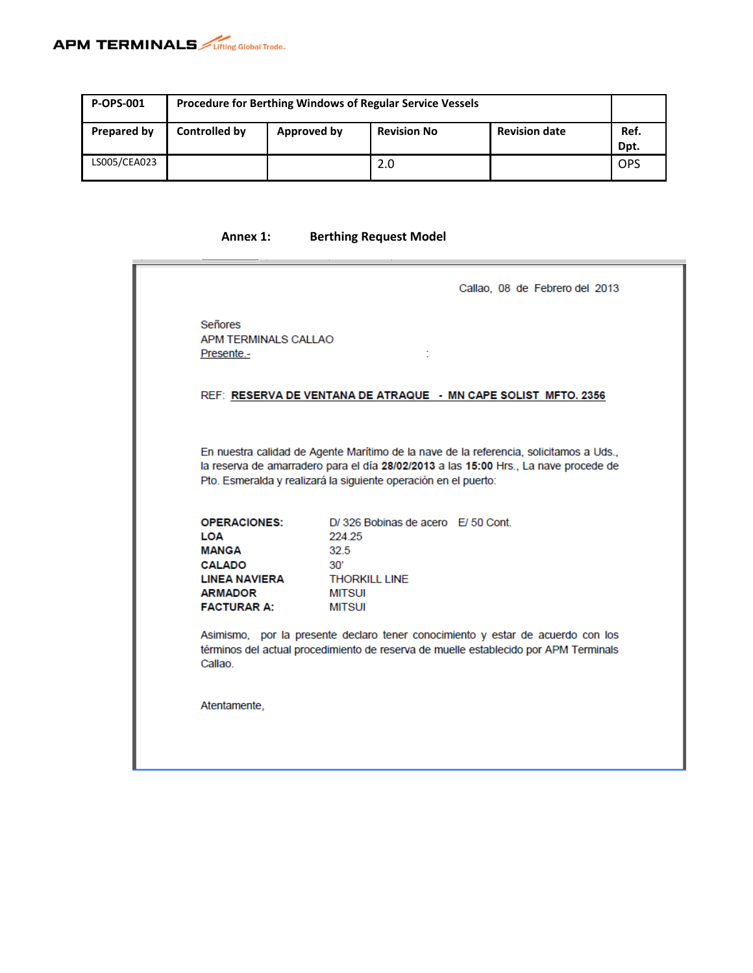

| <b>P-OPS-001</b> | <b>Procedure for Berthing Windows of Regular Service Vessels</b>           |  |     |  |            |
|------------------|----------------------------------------------------------------------------|--|-----|--|------------|
| Prepared by      | Controlled by<br><b>Revision date</b><br><b>Revision No</b><br>Approved by |  |     |  |            |
| LS005/CEA023     |                                                                            |  | 2.0 |  | <b>OPS</b> |

# **Annex 1: Berthing Request Model**

|                                                                                                                             | Callao, 08 de Febrero del 2013                                                                                                                                                                                                                                                                  |
|-----------------------------------------------------------------------------------------------------------------------------|-------------------------------------------------------------------------------------------------------------------------------------------------------------------------------------------------------------------------------------------------------------------------------------------------|
| Señores<br>APM TERMINALS CALLAO<br>Presente.-                                                                               |                                                                                                                                                                                                                                                                                                 |
|                                                                                                                             | REF: RESERVA DE VENTANA DE ATRAQUE - MN CAPE SOLIST MFTO. 2356                                                                                                                                                                                                                                  |
|                                                                                                                             | En nuestra calidad de Agente Marítimo de la nave de la referencia, solicitamos a Uds.,<br>la reserva de amarradero para el día 28/02/2013 a las 15:00 Hrs., La nave procede de<br>Pto. Esmeralda y realizará la siguiente operación en el puerto:                                               |
| <b>OPERACIONES:</b><br>LOA<br><b>MANGA</b><br><b>CALADO</b><br><b>LINEA NAVIERA</b><br><b>ARMADOR</b><br><b>FACTURAR A:</b> | D/326 Bobinas de acero E/50 Cont.<br>224.25<br>32.5<br>30'<br><b>THORKILL LINE</b><br><b>MITSUI</b><br><b>MITSUI</b><br>Asimismo, por la presente declaro tener conocimiento y estar de acuerdo con los<br>términos del actual procedimiento de reserva de muelle establecido por APM Terminals |
| Callao                                                                                                                      |                                                                                                                                                                                                                                                                                                 |
| Atentamente,                                                                                                                |                                                                                                                                                                                                                                                                                                 |